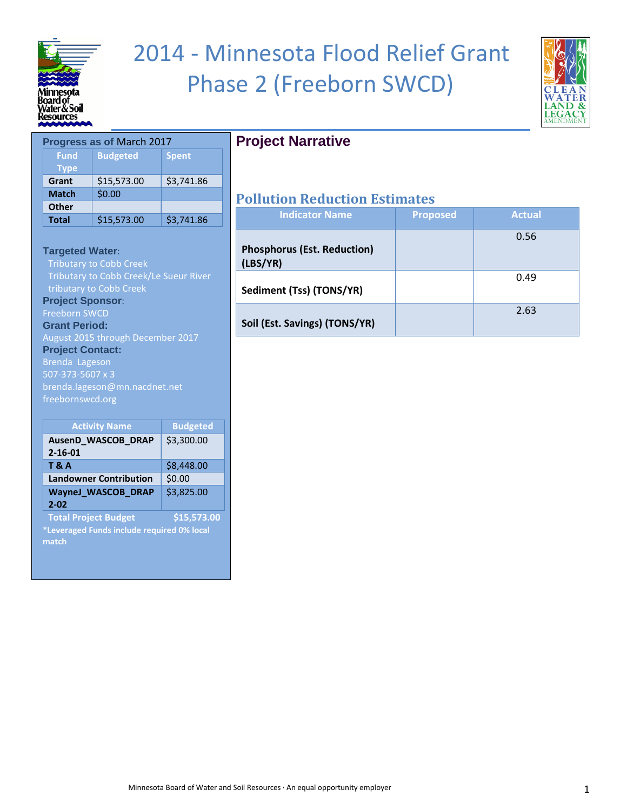

# 2014 - Minnesota Flood Relief Grant Phase 2 (Freeborn SWCD)

**Project Narrative**



| Progress as of March 2017  |                 |              |
|----------------------------|-----------------|--------------|
| <b>Fund</b><br><b>Type</b> | <b>Budgeted</b> | <b>Spent</b> |
| Grant                      | \$15,573.00     | \$3,741.86   |
| <b>Match</b>               | \$0.00          |              |
| <b>Other</b>               |                 |              |
| <b>Total</b>               | \$15,573.00     | \$3,741.86   |

**Targeted Water**: Tributary to Cobb Creek/Le Sueur River tributary to Cobb Creek

**Project Sponsor**: Freeborn SWCD

**Grant Period:**

August 2015 through December 2017 **Project Contact:**  Brenda Lageson 507-373-5607 x 3 brenda.lageson@mn.nacdnet.net freebornswcd.org

| <b>Activity Name</b>                       | <b>Budgeted</b> |  |
|--------------------------------------------|-----------------|--|
| AusenD_WASCOB_DRAP                         | \$3,300.00      |  |
| $2 - 16 - 01$                              |                 |  |
| <b>T&amp;A</b>                             | \$8,448.00      |  |
| <b>Landowner Contribution</b>              | \$0.00          |  |
| <b>WayneJ_WASCOB_DRAP</b>                  | \$3,825.00      |  |
| $2 - 02$                                   |                 |  |
| <b>Total Project Budget</b>                | \$15,573.00     |  |
| *Leveraged Funds include required 0% local |                 |  |
| match                                      |                 |  |
|                                            |                 |  |

| <b>Indicator Name</b>                          | <b>Proposed</b> | <b>Actual</b> |
|------------------------------------------------|-----------------|---------------|
| <b>Phosphorus (Est. Reduction)</b><br>(LBS/YR) |                 | 0.56          |
| Sediment (Tss) (TONS/YR)                       |                 | 0.49          |
| Soil (Est. Savings) (TONS/YR)                  |                 | 2.63          |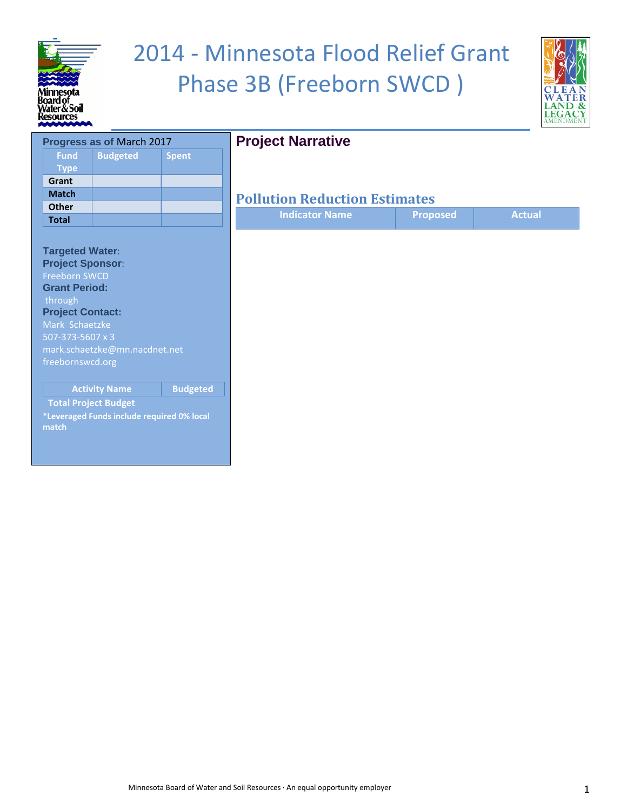

# 2014 - Minnesota Flood Relief Grant Phase 3B (Freeborn SWCD )



#### **Progress as of** March 2017 **Fund Type Budgeted Spent Grant Match Other Total Targeted Water**: **Project Sponsor**: Freeborn SWCD **Grant Period:** through **Project Contact:**  Mark Schaetzke 507-373-5607 x 3 mark.schaetzke@mn.nacdnet.net freebornswcd.org **Activity Name Budgeted Total Project Budget \*Leveraged Funds include required 0% local match**

## **Project Narrative**

| <b>Indicator Name</b> | <b>Proposed</b> | <b>Actual</b> |
|-----------------------|-----------------|---------------|
|                       |                 |               |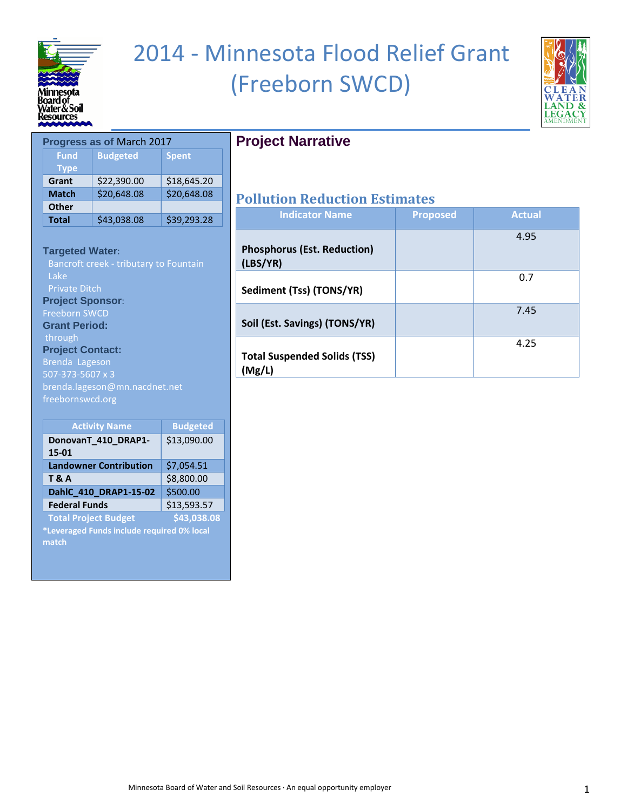

## 2014 - Minnesota Flood Relief Grant (Freeborn SWCD)



#### **Progress as of** March 2017 **Fund Type Budgeted Spent Grant** \$22,390.00 \$18,645.20 **Match** \$20,648.08 \$20,648.08 **Other Total** \$43,038.08 \$39,293.28

#### **Targeted Water**:

Lake Private Ditch **Project Sponsor**: Freeborn SWCD **Grant Period:** through **Project Contact:**  Brenda Lageson

507-373-5607 x 3 brenda.lageson@mn.nacdnet.net freebornswcd.org

| <b>Activity Name</b>                       | <b>Budgeted</b> |  |
|--------------------------------------------|-----------------|--|
| DonovanT_410_DRAP1-                        | \$13,090.00     |  |
| 15-01                                      |                 |  |
| <b>Landowner Contribution</b>              | \$7,054.51      |  |
| <b>T&amp;A</b>                             | \$8,800.00      |  |
| DahlC_410_DRAP1-15-02                      | \$500.00        |  |
| <b>Federal Funds</b>                       | \$13,593.57     |  |
| <b>Total Project Budget</b>                | \$43,038.08     |  |
| *Leveraged Funds include required 0% local |                 |  |

**match**

## **Project Narrative**

| <b>Indicator Name</b>                          | <b>Proposed</b> | <b>Actual</b> |
|------------------------------------------------|-----------------|---------------|
| <b>Phosphorus (Est. Reduction)</b><br>(LBS/YR) |                 | 4.95          |
| Sediment (Tss) (TONS/YR)                       |                 | 0.7           |
| Soil (Est. Savings) (TONS/YR)                  |                 | 7.45          |
| <b>Total Suspended Solids (TSS)</b><br>(Mg/L)  |                 | 4.25          |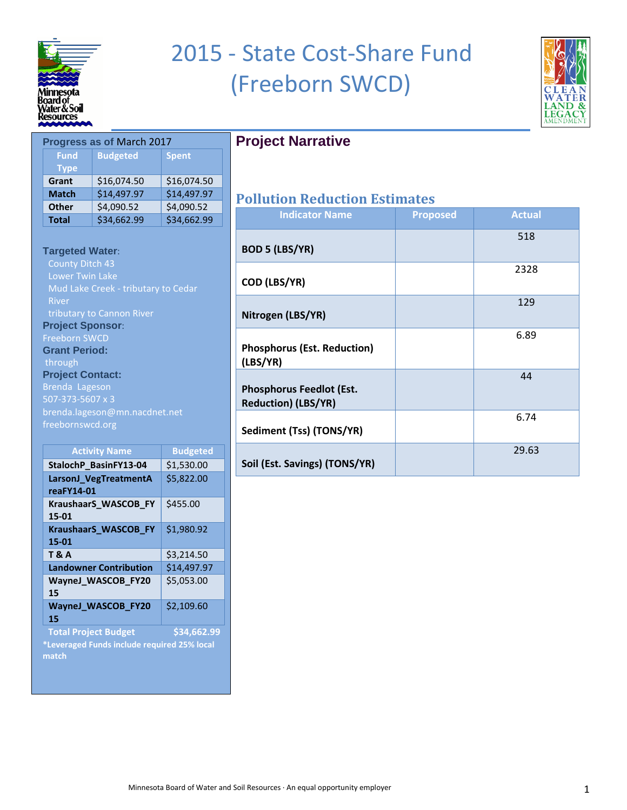

**Fund Type**

## 2015 - State Cost-Share Fund (Freeborn SWCD)



## **Project Narrative**

| Grant        | \$16.074.50 | \$16.074.50 |                     |
|--------------|-------------|-------------|---------------------|
| <b>Match</b> | \$14,497.97 | \$14,497.97 | <b>Pollution Re</b> |
| <b>Other</b> | \$4,090.52  | \$4,090.52  |                     |
| <b>Total</b> | \$34,662.99 | \$34,662.99 | Indicat             |

#### **Targeted Water**:

**Progress as of** March 2017

**Budgeted Spent**

County Ditch 43 Mud Lake Creek - tributary to Cedar River **Project Sponsor**: Freeborn SWCD **Grant Period:** through **Project Contact:**  Brenda Lageson brenda.lageson@mn.nacdnet.net freebornswcd.org

| <b>Activity Name</b>            | <b>Budgeted</b> |
|---------------------------------|-----------------|
| StalochP_BasinFY13-04           | \$1,530.00      |
| LarsonJ VegTreatmentA           | \$5,822.00      |
| reaFY14-01                      |                 |
| KraushaarS_WASCOB_FY<br>15-01   | \$455.00        |
| KraushaarS_WASCOB_FY<br>15-01   | \$1,980.92      |
| <b>T&amp;A</b>                  | \$3,214.50      |
| <b>Landowner Contribution</b>   | \$14,497.97     |
| WayneJ_WASCOB_FY20<br>15        | \$5,053.00      |
| <b>WayneJ_WASCOB_FY20</b><br>15 | \$2,109.60      |
| <b>Total Project Budget</b>     | \$34,662.99     |

**\*Leveraged Funds include required 25% local match**

| <b>Indicator Name</b>                                         | <b>Proposed</b> | <b>Actual</b> |
|---------------------------------------------------------------|-----------------|---------------|
| <b>BOD 5 (LBS/YR)</b>                                         |                 | 518           |
| COD (LBS/YR)                                                  |                 | 2328          |
| Nitrogen (LBS/YR)                                             |                 | 129           |
| <b>Phosphorus (Est. Reduction)</b><br>(LBS/YR)                |                 | 6.89          |
| <b>Phosphorus Feedlot (Est.</b><br><b>Reduction) (LBS/YR)</b> |                 | 44            |
| Sediment (Tss) (TONS/YR)                                      |                 | 6.74          |
| Soil (Est. Savings) (TONS/YR)                                 |                 | 29.63         |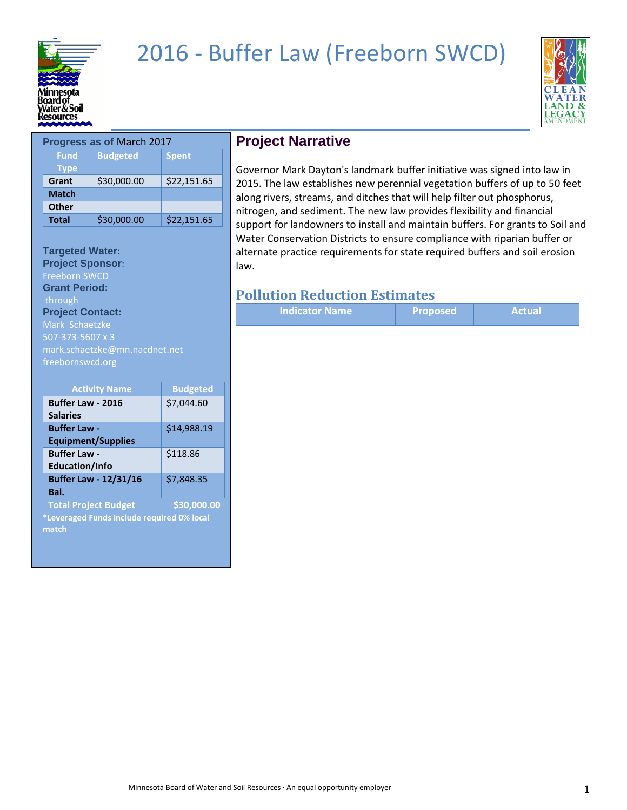

## 2016 - Buffer Law (Freeborn SWCD)



| <b>Progress as of March 2017</b> |                 |              |
|----------------------------------|-----------------|--------------|
| <b>Fund</b>                      | <b>Budgeted</b> | <b>Spent</b> |
| <b>Type</b>                      |                 |              |
| Grant                            | \$30,000.00     | \$22,151.65  |
| <b>Match</b>                     |                 |              |
| <b>Other</b>                     |                 |              |
| <b>Total</b>                     | \$30,000.00     | \$22,151.65  |

### **Targeted Water**:

**Project Sponsor**: Freeborn SWCD **Grant Period:** through **Project Contact:**  Mark Schaetzke 507-373-5607 x 3 mark.schaetzke@mn.nacdnet.net freebornswcd.org

| <b>Activity Name</b>                       | <b>Budgeted</b> |
|--------------------------------------------|-----------------|
| <b>Buffer Law - 2016</b>                   | \$7,044.60      |
| <b>Salaries</b>                            |                 |
| <b>Buffer Law -</b>                        | \$14,988.19     |
| <b>Equipment/Supplies</b>                  |                 |
| <b>Buffer Law -</b>                        | \$118.86        |
| <b>Education/Info</b>                      |                 |
| <b>Buffer Law - 12/31/16</b>               | \$7,848.35      |
| Bal.                                       |                 |
| <b>Total Project Budget</b>                | \$30,000.00     |
| *Leveraged Funds include required 0% local |                 |
| match                                      |                 |

## **Project Narrative**

Governor Mark Dayton's landmark buffer initiative was signed into law in 2015. The law establishes new perennial vegetation buffers of up to 50 feet along rivers, streams, and ditches that will help filter out phosphorus, nitrogen, and sediment. The new law provides flexibility and financial support for landowners to install and maintain buffers. For grants to Soil and Water Conservation Districts to ensure compliance with riparian buffer or alternate practice requirements for state required buffers and soil erosion law.

|  | <b>Indicator Name</b> | <b>Proposed</b> | <b>Actual</b> |
|--|-----------------------|-----------------|---------------|
|--|-----------------------|-----------------|---------------|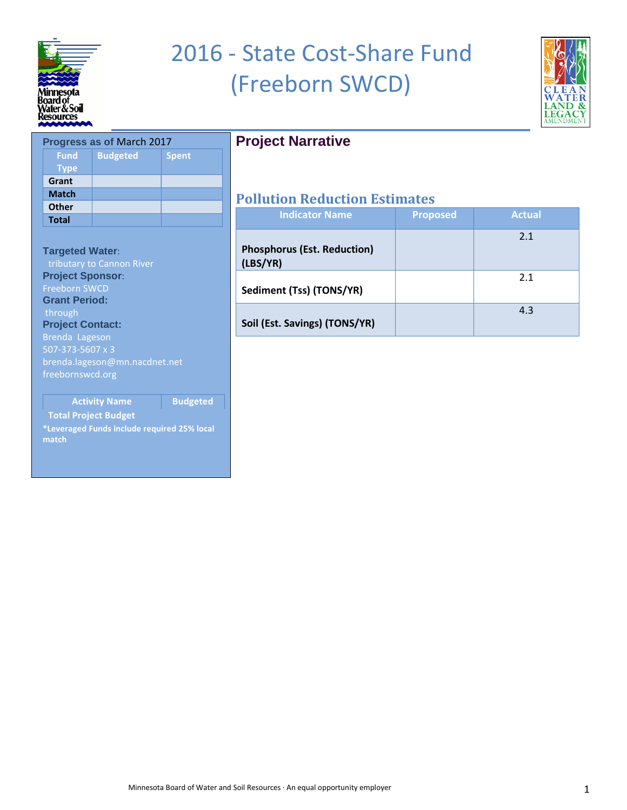

## 2016 - State Cost-Share Fund (Freeborn SWCD)



|              | <b>Progress as of March 2017</b> |              |
|--------------|----------------------------------|--------------|
| <b>Fund</b>  | <b>Budgeted</b>                  | <b>Spent</b> |
| <b>Type</b>  |                                  |              |
| Grant        |                                  |              |
| <b>Match</b> |                                  |              |
| <b>Other</b> |                                  |              |
| <b>Total</b> |                                  |              |
|              |                                  |              |

#### **Targeted Water**:

**Project Sponsor**: Freeborn SWCD **Grant Period:** through **Project Contact:**  Brenda Lageson

brenda.lageson@mn.nacdnet.net freebornswcd.org

**Activity Name Budgeted** 

#### **Total Project Budget**

**\*Leveraged Funds include required 25% local match**

## **Project Narrative**

| <b>Indicator Name</b>                          | <b>Proposed</b> | <b>Actual</b> |
|------------------------------------------------|-----------------|---------------|
| <b>Phosphorus (Est. Reduction)</b><br>(LBS/YR) |                 | 2.1           |
| Sediment (Tss) (TONS/YR)                       |                 | 2.1           |
| Soil (Est. Savings) (TONS/YR)                  |                 | 4.3           |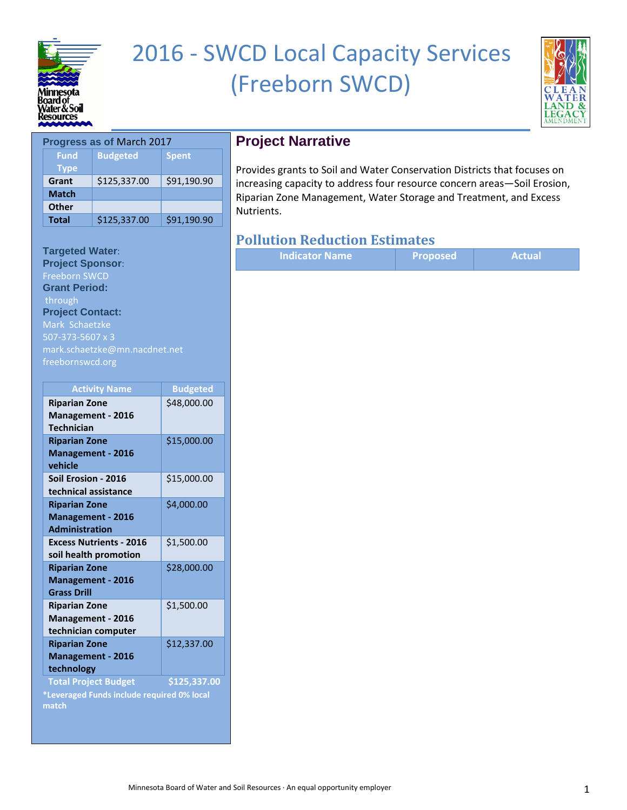

## 2016 - SWCD Local Capacity Services (Freeborn SWCD)



|              | <b>Progress as of March 2017</b> |              |
|--------------|----------------------------------|--------------|
| <b>Fund</b>  | <b>Budgeted</b>                  | <b>Spent</b> |
| <b>Type</b>  |                                  |              |
| Grant        | \$125,337.00                     | \$91,190.90  |
| <b>Match</b> |                                  |              |
| <b>Other</b> |                                  |              |
| <b>Total</b> | \$125,337.00                     | \$91,190.90  |

#### **Targeted Water**:

**Project Sponsor**: Freeborn SWCD **Grant Period:** through **Project Contact:**  Mark Schaetzke 507-373-5607 x 3 mark.schaetzke@mn.nacdnet.net freebornswcd.org

| <b>Activity Name</b>                                                               | <b>Budgeted</b> |
|------------------------------------------------------------------------------------|-----------------|
| <b>Riparian Zone</b><br><b>Management - 2016</b><br><b>Technician</b>              | \$48,000.00     |
| <b>Riparian Zone</b><br><b>Management - 2016</b><br>vehicle                        | \$15,000.00     |
| Soil Erosion - 2016<br>technical assistance                                        | \$15,000.00     |
| <b>Riparian Zone</b><br><b>Management - 2016</b><br><b>Administration</b>          | \$4,000.00      |
| <b>Excess Nutrients - 2016</b><br>soil health promotion                            | \$1,500.00      |
| <b>Riparian Zone</b><br><b>Management - 2016</b><br><b>Grass Drill</b>             | \$28,000.00     |
| <b>Riparian Zone</b><br><b>Management - 2016</b><br>technician computer            | \$1,500.00      |
| <b>Riparian Zone</b><br><b>Management - 2016</b><br>technology                     | \$12,337.00     |
| <b>Total Project Budget</b><br>*Leveraged Funds include required 0% local<br>match | \$125,337.00    |

## **Project Narrative**

Provides grants to Soil and Water Conservation Districts that focuses on increasing capacity to address four resource concern areas—Soil Erosion, Riparian Zone Management, Water Storage and Treatment, and Excess Nutrients.

| <b>Indicator Name</b> | <b>Proposed</b> | <b>Actual</b> |
|-----------------------|-----------------|---------------|
|-----------------------|-----------------|---------------|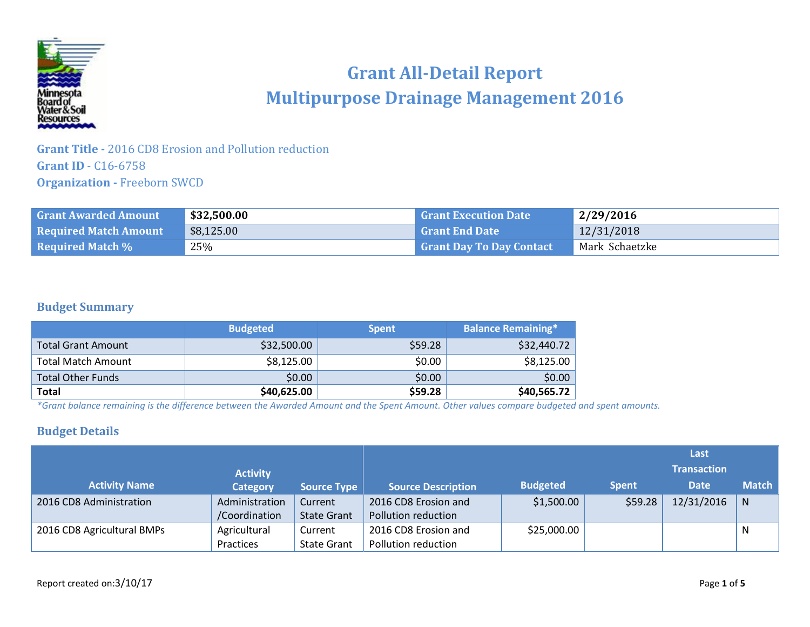

## **Grant All-Detail Report Multipurpose Drainage Management 2016**

### **Grant Title -** 2016 CD8 Erosion and Pollution reduction **Grant ID** - C16-6758 **Organization -** Freeborn SWCD

| <b>Grant Awarded Amount</b>  | \$32,500.00 | <b>Grant Execution Date</b>     | 2/29/2016      |
|------------------------------|-------------|---------------------------------|----------------|
| <b>Required Match Amount</b> | \$8,125.00  | <b>Grant End Date</b>           | 12/31/2018     |
| <b>Required Match %</b>      | 25%         | <b>Grant Day To Day Contact</b> | Mark Schaetzke |

#### **Budget Summary**

|                           | <b>Budgeted</b> | <b>Spent</b> | <b>Balance Remaining*</b> |
|---------------------------|-----------------|--------------|---------------------------|
| Total Grant Amount        | \$32,500.00     | \$59.28      | \$32,440.72               |
| <b>Total Match Amount</b> | \$8,125.00      | \$0.00       | \$8,125.00                |
| <b>Total Other Funds</b>  | \$0.00          | \$0.00       | \$0.00                    |
| <b>Total</b>              | \$40,625.00     | \$59.28      | \$40,565.72               |

*\*Grant balance remaining is the difference between the Awarded Amount and the Spent Amount. Other values compare budgeted and spent amounts.*

### **Budget Details**

|                            |                 |                    |                           |                 |              | Last               |              |
|----------------------------|-----------------|--------------------|---------------------------|-----------------|--------------|--------------------|--------------|
|                            | <b>Activity</b> |                    |                           |                 |              | <b>Transaction</b> |              |
| <b>Activity Name</b>       | <b>Category</b> | <b>Source Type</b> | <b>Source Description</b> | <b>Budgeted</b> | <b>Spent</b> | <b>Date</b>        | <b>Match</b> |
| 2016 CD8 Administration    | Administration  | Current            | 2016 CD8 Erosion and      | \$1,500.00      | \$59.28      | 12/31/2016         | $\mathsf{N}$ |
|                            | /Coordination   | <b>State Grant</b> | Pollution reduction       |                 |              |                    |              |
| 2016 CD8 Agricultural BMPs | Agricultural    | Current            | 2016 CD8 Erosion and      | \$25,000.00     |              |                    | N            |
|                            | Practices       | <b>State Grant</b> | Pollution reduction       |                 |              |                    |              |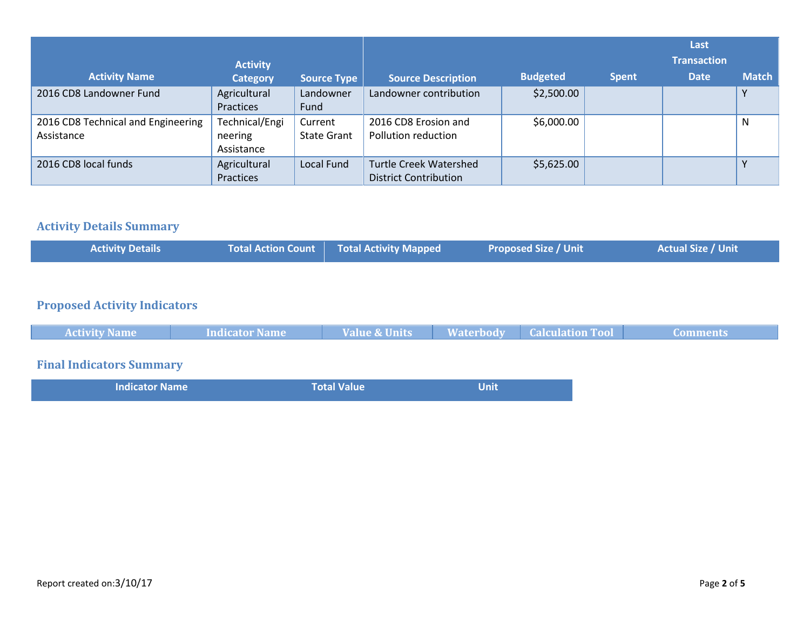|                                                  | <b>Activity</b>                         |                               |                                                               |                 |              | Last<br><b>Transaction</b> |              |
|--------------------------------------------------|-----------------------------------------|-------------------------------|---------------------------------------------------------------|-----------------|--------------|----------------------------|--------------|
| <b>Activity Name</b>                             | <b>Category</b>                         | <b>Source Type</b>            | <b>Source Description</b>                                     | <b>Budgeted</b> | <b>Spent</b> | <b>Date</b>                | <b>Match</b> |
| 2016 CD8 Landowner Fund                          | Agricultural<br>Practices               | Landowner<br>Fund             | Landowner contribution                                        | \$2,500.00      |              |                            | v            |
| 2016 CD8 Technical and Engineering<br>Assistance | Technical/Engi<br>neering<br>Assistance | Current<br><b>State Grant</b> | 2016 CD8 Erosion and<br>Pollution reduction                   | \$6,000.00      |              |                            | N            |
| 2016 CD8 local funds                             | Agricultural<br>Practices               | <b>Local Fund</b>             | <b>Turtle Creek Watershed</b><br><b>District Contribution</b> | \$5,625.00      |              |                            | $\checkmark$ |

## **Activity Details Summary**

|  | <b>Actual Size / Unit</b><br><b>Total Action Count Total Activity Mapped</b><br><b>Proposed Size / Unit</b><br><b>Activity Details</b> |
|--|----------------------------------------------------------------------------------------------------------------------------------------|
|--|----------------------------------------------------------------------------------------------------------------------------------------|

### **Proposed Activity Indicators**

| <b>Activity Name</b> | Indicator Name | <b>Value &amp; Units</b> | <b>Waterbody</b> | <b>Calculation Tool</b> | <b>Comments</b> |
|----------------------|----------------|--------------------------|------------------|-------------------------|-----------------|
|                      |                |                          |                  |                         |                 |

## **Final Indicators Summary**

|--|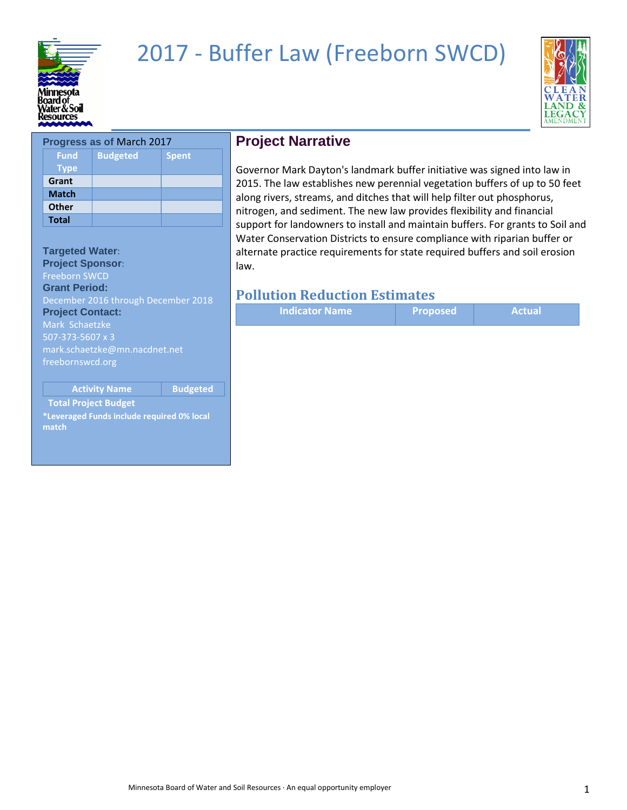

## 2017 - Buffer Law (Freeborn SWCD)



| <b>Progress as of March 2017</b> |                 |              |
|----------------------------------|-----------------|--------------|
| <b>Fund</b>                      | <b>Budgeted</b> | <b>Spent</b> |
| <b>Type</b>                      |                 |              |
| Grant                            |                 |              |
| <b>Match</b>                     |                 |              |
| <b>Other</b>                     |                 |              |
| <b>Total</b>                     |                 |              |
|                                  |                 |              |

## **Targeted Water**:

**Project Sponsor**: Freeborn SWCD **Grant Period:** December 2016 through December 2018 **Project Contact:**  Mark Schaetzke 507-373-5607 x 3 mark.schaetzke@mn.nacdnet.net freebornswcd.org

**Activity Name Budgeted** 

**Total Project Budget**

**\*Leveraged Funds include required 0% local match**

### **Project Narrative**

Governor Mark Dayton's landmark buffer initiative was signed into law in 2015. The law establishes new perennial vegetation buffers of up to 50 feet along rivers, streams, and ditches that will help filter out phosphorus, nitrogen, and sediment. The new law provides flexibility and financial support for landowners to install and maintain buffers. For grants to Soil and Water Conservation Districts to ensure compliance with riparian buffer or alternate practice requirements for state required buffers and soil erosion law.

|--|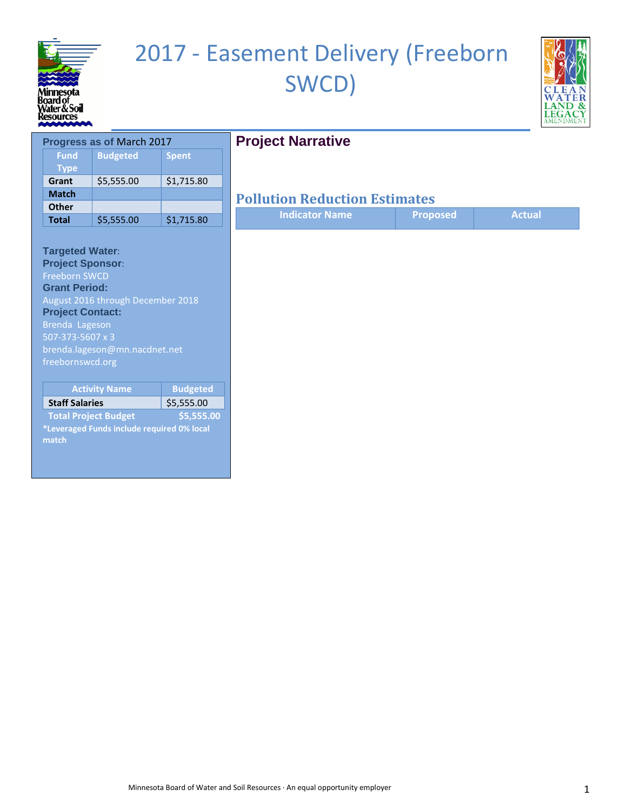

# 2017 - Easement Delivery (Freeborn SWCD)



## **Project Narrative**

| Progress as of March 2017  |                 |              |
|----------------------------|-----------------|--------------|
| <b>Fund</b><br><b>Type</b> | <b>Budgeted</b> | <b>Spent</b> |
| Grant                      | \$5,555.00      | \$1,715.80   |
| <b>Match</b>               |                 |              |
| <b>Other</b>               |                 |              |
| <b>Total</b>               | \$5,555.00      | \$1,715.80   |

#### **Targeted Water**: **Project Sponsor**: Freeborn SWCD **Grant Period:** August 2016 through December 2018

**Project Contact:**  Brenda Lageson brenda.lageson@mn.nacdnet.net freebornswcd.org

| <b>Activity Name</b>                       | <b>Budgeted</b> |
|--------------------------------------------|-----------------|
| <b>Staff Salaries</b>                      | \$5,555.00      |
| <b>Total Project Budget</b>                | \$5.555.00      |
| *Leveraged Funds include required 0% local |                 |

**\*Leveraged Funds include required 0% local match**

| <b>Indicator Name</b> | Proposed | Actual |
|-----------------------|----------|--------|